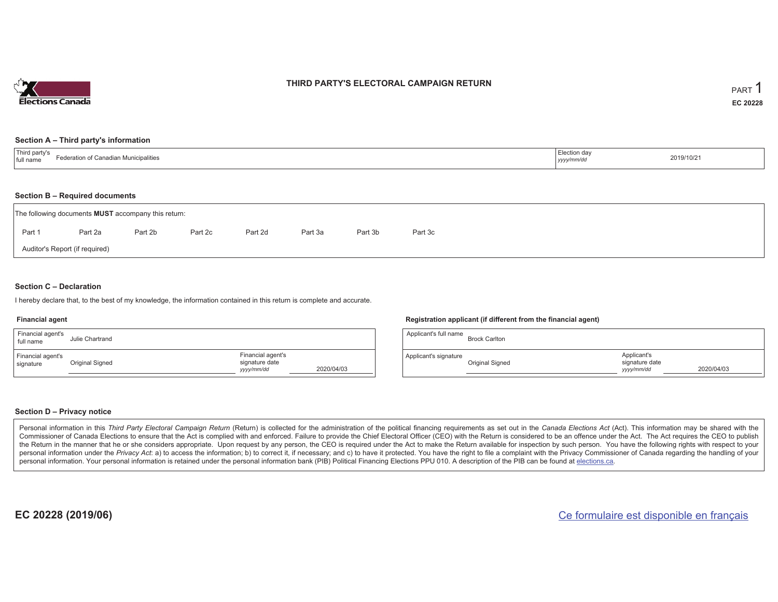

### **THIRD PARTY'S ELECTORAL CAMPAIGN RETURN**

#### **Section A – Third party's information**

| Third party's<br>inadian Municipalities<br>$ \sim$ $\sim$<br>гатю пот<br>ull name<br>the contract of the contract of the contract of the contract of the contract of the contract of the contract of | Election dav<br>.<br>уууулттис | 2019/10/21 |
|------------------------------------------------------------------------------------------------------------------------------------------------------------------------------------------------------|--------------------------------|------------|
|------------------------------------------------------------------------------------------------------------------------------------------------------------------------------------------------------|--------------------------------|------------|

#### **Section B – Required documents**

|                                | The following documents <b>MUST</b> accompany this return: |         |         |         |         |         |         |  |  |  |  |  |
|--------------------------------|------------------------------------------------------------|---------|---------|---------|---------|---------|---------|--|--|--|--|--|
| Part 1                         | Part 2a                                                    | Part 2b | Part 2c | Part 2d | Part 3a | Part 3b | Part 3c |  |  |  |  |  |
| Auditor's Report (if required) |                                                            |         |         |         |         |         |         |  |  |  |  |  |

### **Section C – Declaration**

I hereby declare that, to the best of my knowledge, the information contained in this return is complete and accurate.

#### **Financial agent**

| Financial agent's<br>full name | Julie Chartrand |                                                   |            |
|--------------------------------|-----------------|---------------------------------------------------|------------|
| Financial agent's<br>signature | Original Signed | Financial agent's<br>signature date<br>yyyy/mm/dd | 2020/04/03 |

#### **Registration applicant (if different from the financial agent)**

| Applicant's full name | <b>Brock Carlton</b> |                                             |            |
|-----------------------|----------------------|---------------------------------------------|------------|
| Applicant's signature | Original Signed      | Applicant's<br>signature date<br>yyyy/mm/dd | 2020/04/03 |

### **Section D – Privacy notice**

Personal information in this Third Party Electoral Campaign Return (Return) is collected for the administration of the political financing requirements as set out in the Canada Elections Act (Act). This information may be Commissioner of Canada Elections to ensure that the Act is complied with and enforced. Failure to provide the Chief Electoral Officer (CEO) with the Return is considered to be an offence under the Act. The Act requires the the Return in the manner that he or she considers appropriate. Upon request by any person, the CEO is required under the Act to make the Return available for inspection by such person. You have the following rights with re personal information under the Privacy Act: a) to access the information; b) to correct it, if necessary; and c) to have it protected. You have the right to file a complaint with the Privacy Commissioner of Canada regardin personal information. Your personal information is retained under the personal information bank (PIB) Political Financing Elections PPU 010. A description of the PIB can be found at elections.ca.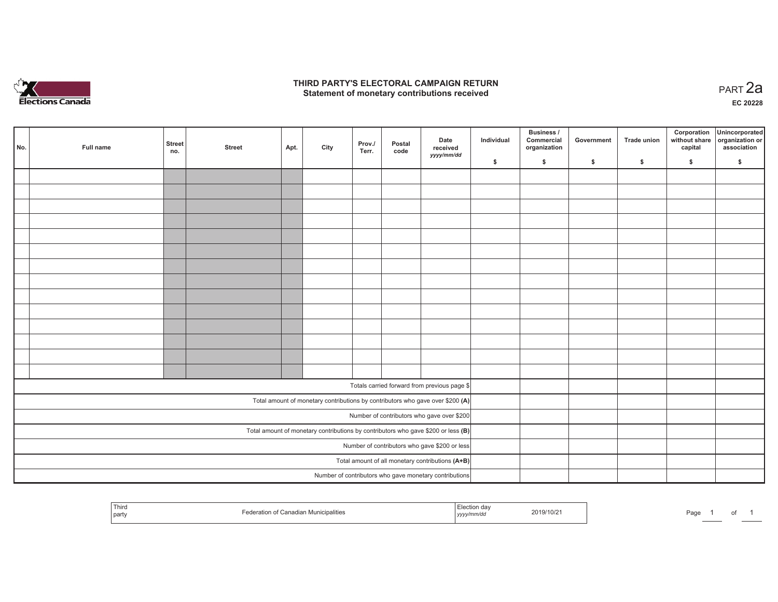

## **THIRD PARTY'S ELECTORAL CAMPAIGN RETURN HIRD PARTY'S ELECTORAL CAMPAIGN RETURN<br>Statement of monetary contributions received PART 2a**

**EC 20228**

| No. |                                                                                     | Full name | <b>Street</b><br>no. | <b>Street</b> | Apt. | City | Prov./<br>Terr. | Postal<br>code | Date<br>received<br>yyyy/mm/dd                                                 | Individual | <b>Business /</b><br>Commercial<br>organization | Government | Trade union | Corporation<br>capital | Unincorporated<br>without share organization or<br>association |
|-----|-------------------------------------------------------------------------------------|-----------|----------------------|---------------|------|------|-----------------|----------------|--------------------------------------------------------------------------------|------------|-------------------------------------------------|------------|-------------|------------------------|----------------------------------------------------------------|
|     |                                                                                     |           |                      |               |      |      |                 |                |                                                                                | \$         | \$                                              | \$         | \$          | \$                     | \$                                                             |
|     |                                                                                     |           |                      |               |      |      |                 |                |                                                                                |            |                                                 |            |             |                        |                                                                |
|     |                                                                                     |           |                      |               |      |      |                 |                |                                                                                |            |                                                 |            |             |                        |                                                                |
|     |                                                                                     |           |                      |               |      |      |                 |                |                                                                                |            |                                                 |            |             |                        |                                                                |
|     |                                                                                     |           |                      |               |      |      |                 |                |                                                                                |            |                                                 |            |             |                        |                                                                |
|     |                                                                                     |           |                      |               |      |      |                 |                |                                                                                |            |                                                 |            |             |                        |                                                                |
|     |                                                                                     |           |                      |               |      |      |                 |                |                                                                                |            |                                                 |            |             |                        |                                                                |
|     |                                                                                     |           |                      |               |      |      |                 |                |                                                                                |            |                                                 |            |             |                        |                                                                |
|     |                                                                                     |           |                      |               |      |      |                 |                |                                                                                |            |                                                 |            |             |                        |                                                                |
|     |                                                                                     |           |                      |               |      |      |                 |                |                                                                                |            |                                                 |            |             |                        |                                                                |
|     |                                                                                     |           |                      |               |      |      |                 |                |                                                                                |            |                                                 |            |             |                        |                                                                |
|     |                                                                                     |           |                      |               |      |      |                 |                |                                                                                |            |                                                 |            |             |                        |                                                                |
|     |                                                                                     |           |                      |               |      |      |                 |                |                                                                                |            |                                                 |            |             |                        |                                                                |
|     |                                                                                     |           |                      |               |      |      |                 |                |                                                                                |            |                                                 |            |             |                        |                                                                |
|     |                                                                                     |           |                      |               |      |      |                 |                |                                                                                |            |                                                 |            |             |                        |                                                                |
|     |                                                                                     |           |                      |               |      |      |                 |                |                                                                                |            |                                                 |            |             |                        |                                                                |
|     |                                                                                     |           |                      |               |      |      |                 |                | Totals carried forward from previous page \$                                   |            |                                                 |            |             |                        |                                                                |
|     |                                                                                     |           |                      |               |      |      |                 |                | Total amount of monetary contributions by contributors who gave over \$200 (A) |            |                                                 |            |             |                        |                                                                |
|     | Number of contributors who gave over \$200                                          |           |                      |               |      |      |                 |                |                                                                                |            |                                                 |            |             |                        |                                                                |
|     | Total amount of monetary contributions by contributors who gave \$200 or less $(B)$ |           |                      |               |      |      |                 |                |                                                                                |            |                                                 |            |             |                        |                                                                |
|     | Number of contributors who gave \$200 or less                                       |           |                      |               |      |      |                 |                |                                                                                |            |                                                 |            |             |                        |                                                                |
|     | Total amount of all monetary contributions (A+B)                                    |           |                      |               |      |      |                 |                |                                                                                |            |                                                 |            |             |                        |                                                                |
|     |                                                                                     |           |                      |               |      |      |                 |                | Number of contributors who gave monetary contributions                         |            |                                                 |            |             |                        |                                                                |

| Third<br>l partv | unicipalities<br>наша | .<br>  УУУУ | 2019/10/2 | Page |  |  |  |
|------------------|-----------------------|-------------|-----------|------|--|--|--|
|------------------|-----------------------|-------------|-----------|------|--|--|--|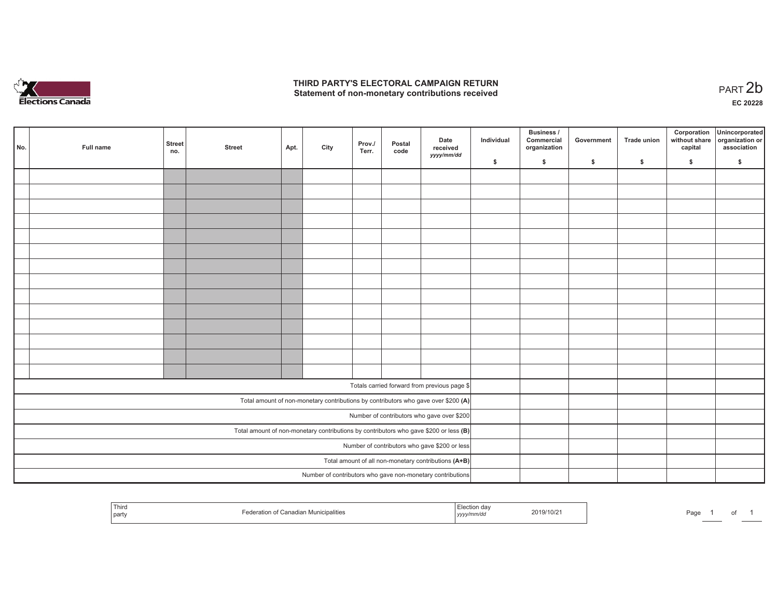

## **THIRD PARTY'S ELECTORAL CAMPAIGN RETURN**  THIRD PARTY'S ELECTORAL CAMPAIGN RETURN<br>Statement of non-monetary contributions received<br> **PART 2b**

| l No.                                         | Full name | <b>Street</b><br>no. | <b>Street</b> | Apt. | City | Prov./<br>Terr. | Postal<br>code | Date<br>received<br>yyyy/mm/dd                                                          | Individual | Business /<br>Commercial<br>organization | Government   | Trade union | Corporation<br>capital | Unincorporated<br>without share organization or<br>association |
|-----------------------------------------------|-----------|----------------------|---------------|------|------|-----------------|----------------|-----------------------------------------------------------------------------------------|------------|------------------------------------------|--------------|-------------|------------------------|----------------------------------------------------------------|
|                                               |           |                      |               |      |      |                 |                |                                                                                         | \$         | $\mathsf{s}$                             | $\mathsf{s}$ | \$          | \$                     | \$                                                             |
|                                               |           |                      |               |      |      |                 |                |                                                                                         |            |                                          |              |             |                        |                                                                |
|                                               |           |                      |               |      |      |                 |                |                                                                                         |            |                                          |              |             |                        |                                                                |
|                                               |           |                      |               |      |      |                 |                |                                                                                         |            |                                          |              |             |                        |                                                                |
|                                               |           |                      |               |      |      |                 |                |                                                                                         |            |                                          |              |             |                        |                                                                |
|                                               |           |                      |               |      |      |                 |                |                                                                                         |            |                                          |              |             |                        |                                                                |
|                                               |           |                      |               |      |      |                 |                |                                                                                         |            |                                          |              |             |                        |                                                                |
|                                               |           |                      |               |      |      |                 |                |                                                                                         |            |                                          |              |             |                        |                                                                |
|                                               |           |                      |               |      |      |                 |                |                                                                                         |            |                                          |              |             |                        |                                                                |
|                                               |           |                      |               |      |      |                 |                |                                                                                         |            |                                          |              |             |                        |                                                                |
|                                               |           |                      |               |      |      |                 |                |                                                                                         |            |                                          |              |             |                        |                                                                |
|                                               |           |                      |               |      |      |                 |                |                                                                                         |            |                                          |              |             |                        |                                                                |
|                                               |           |                      |               |      |      |                 |                |                                                                                         |            |                                          |              |             |                        |                                                                |
|                                               |           |                      |               |      |      |                 |                |                                                                                         |            |                                          |              |             |                        |                                                                |
|                                               |           |                      |               |      |      |                 |                |                                                                                         |            |                                          |              |             |                        |                                                                |
|                                               |           |                      |               |      |      |                 |                | Totals carried forward from previous page \$                                            |            |                                          |              |             |                        |                                                                |
|                                               |           |                      |               |      |      |                 |                | Total amount of non-monetary contributions by contributors who gave over \$200 (A)      |            |                                          |              |             |                        |                                                                |
|                                               |           |                      |               |      |      |                 |                | Number of contributors who gave over \$200                                              |            |                                          |              |             |                        |                                                                |
|                                               |           |                      |               |      |      |                 |                | Total amount of non-monetary contributions by contributors who gave \$200 or less $(B)$ |            |                                          |              |             |                        |                                                                |
| Number of contributors who gave \$200 or less |           |                      |               |      |      |                 |                |                                                                                         |            |                                          |              |             |                        |                                                                |
|                                               |           |                      |               |      |      |                 |                | Total amount of all non-monetary contributions (A+B)                                    |            |                                          |              |             |                        |                                                                |
|                                               |           |                      |               |      |      |                 |                | Number of contributors who gave non-monetary contributions                              |            |                                          |              |             |                        |                                                                |
|                                               |           |                      |               |      |      |                 |                |                                                                                         |            |                                          |              |             |                        |                                                                |

| Third<br>and the contract of the contract of the contract of the contract of the contract of<br>part | าเม><br>,,,,, | .<br>au |
|------------------------------------------------------------------------------------------------------|---------------|---------|
|------------------------------------------------------------------------------------------------------|---------------|---------|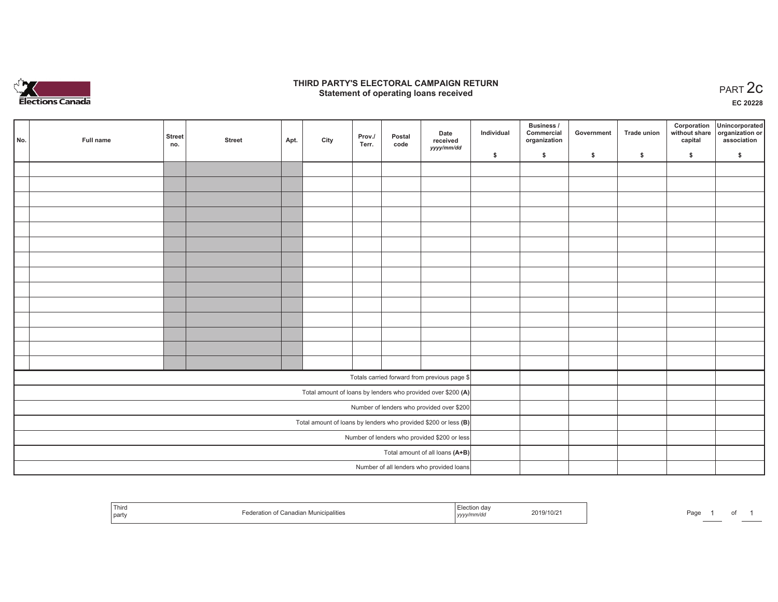

## **THIRD PARTY'S ELECTORAL CAMPAIGN RETURN STATE:** PARTY'S ELECTORAL CAMPAIGN RETURN<br>
Statement of operating loans received

**EC 20228**

| No.                                          | Full name | <b>Street</b><br>no. | <b>Street</b> | Apt. | City | Prov./<br>Terr. | Postal<br>code | Date<br>received<br>yyyy/mm/dd                                  | Individual | <b>Business /</b><br>Commercial<br>organization | Government | <b>Trade union</b> | Corporation<br>capital | Unincorporated<br>without share organization or<br>association |
|----------------------------------------------|-----------|----------------------|---------------|------|------|-----------------|----------------|-----------------------------------------------------------------|------------|-------------------------------------------------|------------|--------------------|------------------------|----------------------------------------------------------------|
|                                              |           |                      |               |      |      |                 |                |                                                                 | \$         | \$                                              | \$         | \$                 | \$                     | \$                                                             |
|                                              |           |                      |               |      |      |                 |                |                                                                 |            |                                                 |            |                    |                        |                                                                |
|                                              |           |                      |               |      |      |                 |                |                                                                 |            |                                                 |            |                    |                        |                                                                |
|                                              |           |                      |               |      |      |                 |                |                                                                 |            |                                                 |            |                    |                        |                                                                |
|                                              |           |                      |               |      |      |                 |                |                                                                 |            |                                                 |            |                    |                        |                                                                |
|                                              |           |                      |               |      |      |                 |                |                                                                 |            |                                                 |            |                    |                        |                                                                |
|                                              |           |                      |               |      |      |                 |                |                                                                 |            |                                                 |            |                    |                        |                                                                |
|                                              |           |                      |               |      |      |                 |                |                                                                 |            |                                                 |            |                    |                        |                                                                |
|                                              |           |                      |               |      |      |                 |                |                                                                 |            |                                                 |            |                    |                        |                                                                |
|                                              |           |                      |               |      |      |                 |                |                                                                 |            |                                                 |            |                    |                        |                                                                |
|                                              |           |                      |               |      |      |                 |                |                                                                 |            |                                                 |            |                    |                        |                                                                |
|                                              |           |                      |               |      |      |                 |                |                                                                 |            |                                                 |            |                    |                        |                                                                |
|                                              |           |                      |               |      |      |                 |                |                                                                 |            |                                                 |            |                    |                        |                                                                |
|                                              |           |                      |               |      |      |                 |                |                                                                 |            |                                                 |            |                    |                        |                                                                |
|                                              |           |                      |               |      |      |                 |                |                                                                 |            |                                                 |            |                    |                        |                                                                |
|                                              |           |                      |               |      |      |                 |                | Totals carried forward from previous page \$                    |            |                                                 |            |                    |                        |                                                                |
|                                              |           |                      |               |      |      |                 |                | Total amount of loans by lenders who provided over \$200 (A)    |            |                                                 |            |                    |                        |                                                                |
|                                              |           |                      |               |      |      |                 |                | Number of lenders who provided over \$200                       |            |                                                 |            |                    |                        |                                                                |
|                                              |           |                      |               |      |      |                 |                | Total amount of loans by lenders who provided \$200 or less (B) |            |                                                 |            |                    |                        |                                                                |
| Number of lenders who provided \$200 or less |           |                      |               |      |      |                 |                |                                                                 |            |                                                 |            |                    |                        |                                                                |
| Total amount of all loans (A+B)              |           |                      |               |      |      |                 |                |                                                                 |            |                                                 |            |                    |                        |                                                                |
|                                              |           |                      |               |      |      |                 |                | Number of all lenders who provided loans                        |            |                                                 |            |                    |                        |                                                                |

| 1 MILO<br>лранне:<br>part | 2019/10/21<br>mm/u.<br>,,,,, | Page |
|---------------------------|------------------------------|------|
|---------------------------|------------------------------|------|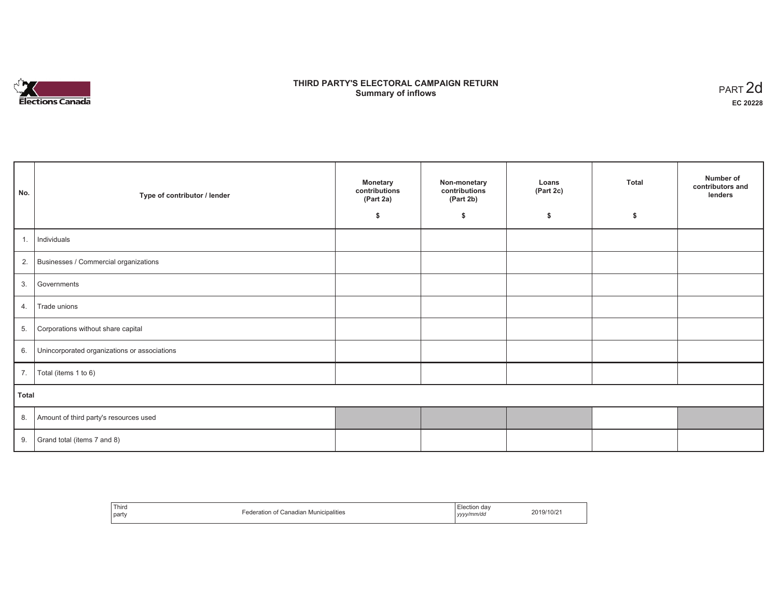

# **THIRD PARTY'S ELECTORAL CAMPAIGN RETURN S** ELECTORAL CAMPAIGN RETURN<br>Summary of inflows PART 2d

| No.   | Type of contributor / lender                    | <b>Monetary</b><br>contributions<br>(Part 2a)<br>\$ | Non-monetary<br>contributions<br>(Part 2b)<br>\$ | Loans<br>(Part 2c)<br>\$ | <b>Total</b><br>Ŝ. | Number of<br>contributors and<br>lenders |
|-------|-------------------------------------------------|-----------------------------------------------------|--------------------------------------------------|--------------------------|--------------------|------------------------------------------|
|       |                                                 |                                                     |                                                  |                          |                    |                                          |
| 1.    | Individuals                                     |                                                     |                                                  |                          |                    |                                          |
|       | 2. Businesses / Commercial organizations        |                                                     |                                                  |                          |                    |                                          |
| 3.    | Governments                                     |                                                     |                                                  |                          |                    |                                          |
| 4.    | Trade unions                                    |                                                     |                                                  |                          |                    |                                          |
| 5.    | Corporations without share capital              |                                                     |                                                  |                          |                    |                                          |
|       | 6. Unincorporated organizations or associations |                                                     |                                                  |                          |                    |                                          |
|       | 7.   Total (items 1 to 6)                       |                                                     |                                                  |                          |                    |                                          |
| Total |                                                 |                                                     |                                                  |                          |                    |                                          |
|       | 8. Amount of third party's resources used       |                                                     |                                                  |                          |                    |                                          |
|       | 9. Grand total (items $7$ and $8$ )             |                                                     |                                                  |                          |                    |                                          |

| Third | Canadian Municipalities | Election dav | 2019/10/2 |
|-------|-------------------------|--------------|-----------|
| party | .                       | yyyy/mm/dd   |           |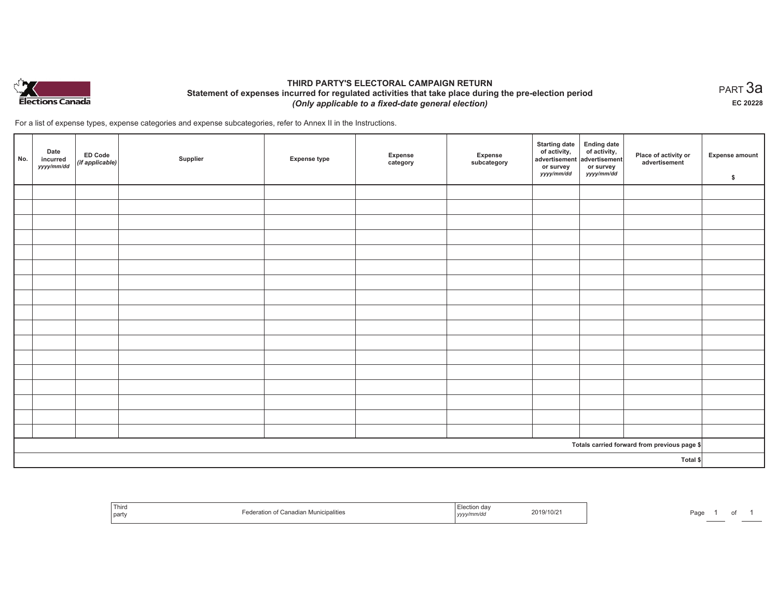

## **THIRD PARTY'S ELECTORAL CAMPAIGN RETURN Statement of expenses incurred for regulated activities that take place during the pre-election period**  *(Only applicable to a fixed-date general election)*

For a list of expense types, expense categories and expense subcategories, refer to Annex II in the Instructions.

| No.      | Date<br>incurred<br>yyyy/mm/dd | <b>ED Code</b><br>$($ if applicable $)$ | Supplier | <b>Expense type</b> | Expense<br>category | Expense<br>subcategory | <b>Starting date</b><br>of activity,<br>advertisement<br>or survey<br>yyyy/mm/dd | Ending date<br>of activity,<br>advertisement<br>or survey<br>yyyy/mm/dd | Place of activity or<br>advertisement        | Expense amount<br>\$ |
|----------|--------------------------------|-----------------------------------------|----------|---------------------|---------------------|------------------------|----------------------------------------------------------------------------------|-------------------------------------------------------------------------|----------------------------------------------|----------------------|
|          |                                |                                         |          |                     |                     |                        |                                                                                  |                                                                         |                                              |                      |
|          |                                |                                         |          |                     |                     |                        |                                                                                  |                                                                         |                                              |                      |
|          |                                |                                         |          |                     |                     |                        |                                                                                  |                                                                         |                                              |                      |
|          |                                |                                         |          |                     |                     |                        |                                                                                  |                                                                         |                                              |                      |
|          |                                |                                         |          |                     |                     |                        |                                                                                  |                                                                         |                                              |                      |
|          |                                |                                         |          |                     |                     |                        |                                                                                  |                                                                         |                                              |                      |
|          |                                |                                         |          |                     |                     |                        |                                                                                  |                                                                         |                                              |                      |
|          |                                |                                         |          |                     |                     |                        |                                                                                  |                                                                         |                                              |                      |
|          |                                |                                         |          |                     |                     |                        |                                                                                  |                                                                         |                                              |                      |
|          |                                |                                         |          |                     |                     |                        |                                                                                  |                                                                         |                                              |                      |
|          |                                |                                         |          |                     |                     |                        |                                                                                  |                                                                         |                                              |                      |
|          |                                |                                         |          |                     |                     |                        |                                                                                  |                                                                         |                                              |                      |
|          |                                |                                         |          |                     |                     |                        |                                                                                  |                                                                         |                                              |                      |
|          |                                |                                         |          |                     |                     |                        |                                                                                  |                                                                         |                                              |                      |
|          |                                |                                         |          |                     |                     |                        |                                                                                  |                                                                         |                                              |                      |
|          |                                |                                         |          |                     |                     |                        |                                                                                  |                                                                         |                                              |                      |
|          |                                |                                         |          |                     |                     |                        |                                                                                  |                                                                         |                                              |                      |
|          |                                |                                         |          |                     |                     |                        |                                                                                  |                                                                         | Totals carried forward from previous page \$ |                      |
| Total \$ |                                |                                         |          |                     |                     |                        |                                                                                  |                                                                         |                                              |                      |

| Third<br>  party | if Canadian Municipalities | , yyyymm/aa | 2019/10/21 | Pag |  |  |  |
|------------------|----------------------------|-------------|------------|-----|--|--|--|
|------------------|----------------------------|-------------|------------|-----|--|--|--|

 $_{\sf PART}$ 3a **EC 20228**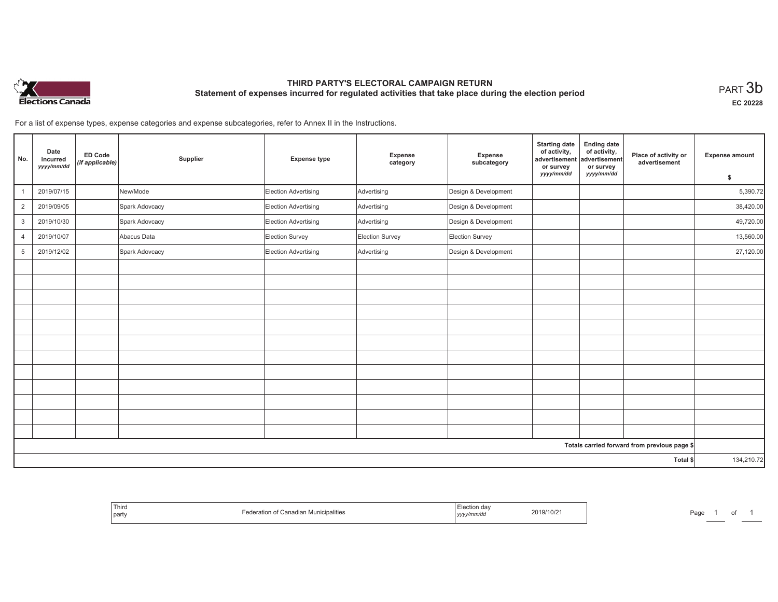

# **THIRD PARTY'S ELECTORAL CAMPAIGN RETURN Statement of expenses incurred for regulated activities that take place during the election period**<br>PART  $3\mathsf{b}$

**EC 20228**

For a list of expense types, expense categories and expense subcategories, refer to Annex II in the Instructions.

| No.            | Date<br>incurred<br>yyyy/mm/dd | ED Code<br>(if applicable) | Supplier       | <b>Expense type</b>  | Expense<br>category | Expense<br>subcategory | <b>Starting date</b><br>of activity,<br>advertisement<br>or survey | <b>Ending date</b><br>of activity,<br>advertisement<br>or survey | Place of activity or<br>advertisement        | Expense amount |
|----------------|--------------------------------|----------------------------|----------------|----------------------|---------------------|------------------------|--------------------------------------------------------------------|------------------------------------------------------------------|----------------------------------------------|----------------|
|                |                                |                            |                |                      |                     |                        | yyyy/mm/dd                                                         | yyyy/mm/dd                                                       |                                              | \$             |
|                | 2019/07/15                     |                            | New/Mode       | Election Advertising | Advertising         | Design & Development   |                                                                    |                                                                  |                                              | 5,390.72       |
| $\overline{2}$ | 2019/09/05                     |                            | Spark Adovcacy | Election Advertising | Advertising         | Design & Development   |                                                                    |                                                                  |                                              | 38,420.00      |
| 3              | 2019/10/30                     |                            | Spark Adovcacy | Election Advertising | Advertising         | Design & Development   |                                                                    |                                                                  |                                              | 49,720.00      |
| $\overline{4}$ | 2019/10/07                     |                            | Abacus Data    | Election Survey      | Election Survey     | Election Survey        |                                                                    |                                                                  |                                              | 13,560.00      |
| 5              | 2019/12/02                     |                            | Spark Adovcacy | Election Advertising | Advertising         | Design & Development   |                                                                    |                                                                  |                                              | 27,120.00      |
|                |                                |                            |                |                      |                     |                        |                                                                    |                                                                  |                                              |                |
|                |                                |                            |                |                      |                     |                        |                                                                    |                                                                  |                                              |                |
|                |                                |                            |                |                      |                     |                        |                                                                    |                                                                  |                                              |                |
|                |                                |                            |                |                      |                     |                        |                                                                    |                                                                  |                                              |                |
|                |                                |                            |                |                      |                     |                        |                                                                    |                                                                  |                                              |                |
|                |                                |                            |                |                      |                     |                        |                                                                    |                                                                  |                                              |                |
|                |                                |                            |                |                      |                     |                        |                                                                    |                                                                  |                                              |                |
|                |                                |                            |                |                      |                     |                        |                                                                    |                                                                  |                                              |                |
|                |                                |                            |                |                      |                     |                        |                                                                    |                                                                  |                                              |                |
|                |                                |                            |                |                      |                     |                        |                                                                    |                                                                  |                                              |                |
|                |                                |                            |                |                      |                     |                        |                                                                    |                                                                  |                                              |                |
|                |                                |                            |                |                      |                     |                        |                                                                    |                                                                  |                                              |                |
|                |                                |                            |                |                      |                     |                        |                                                                    |                                                                  | Totals carried forward from previous page \$ |                |
|                |                                |                            | Total \$       |                      |                     |                        |                                                                    |                                                                  |                                              | 134,210.72     |

| Third<br>  party | Federation of Canadian Municipalities | Election day<br>yyyy/mm/dd | 2019/10/21 | Page |  | of |  |
|------------------|---------------------------------------|----------------------------|------------|------|--|----|--|
|------------------|---------------------------------------|----------------------------|------------|------|--|----|--|